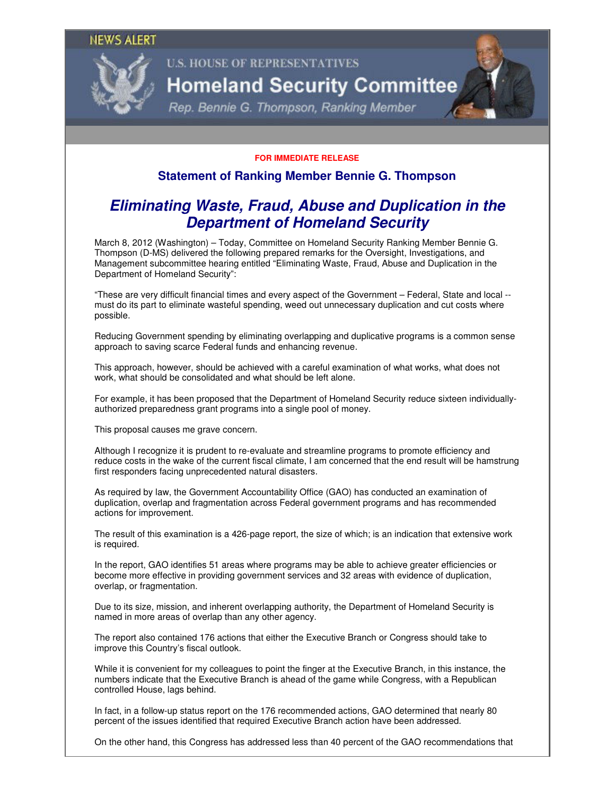

## **U.S. HOUSE OF REPRESENTATIVES Homeland Security Committee**

Rep. Bennie G. Thompson, Ranking Member

## **FOR IMMEDIATE RELEASE**

## **Statement of Ranking Member Bennie G. Thompson**

## **Eliminating Waste, Fraud, Abuse and Duplication in the Department of Homeland Security**

March 8, 2012 (Washington) – Today, Committee on Homeland Security Ranking Member Bennie G. Thompson (D-MS) delivered the following prepared remarks for the Oversight, Investigations, and Management subcommittee hearing entitled "Eliminating Waste, Fraud, Abuse and Duplication in the Department of Homeland Security":

"These are very difficult financial times and every aspect of the Government – Federal, State and local - must do its part to eliminate wasteful spending, weed out unnecessary duplication and cut costs where possible.

Reducing Government spending by eliminating overlapping and duplicative programs is a common sense approach to saving scarce Federal funds and enhancing revenue.

This approach, however, should be achieved with a careful examination of what works, what does not work, what should be consolidated and what should be left alone.

For example, it has been proposed that the Department of Homeland Security reduce sixteen individuallyauthorized preparedness grant programs into a single pool of money.

This proposal causes me grave concern.

Although I recognize it is prudent to re-evaluate and streamline programs to promote efficiency and reduce costs in the wake of the current fiscal climate, I am concerned that the end result will be hamstrung first responders facing unprecedented natural disasters.

As required by law, the Government Accountability Office (GAO) has conducted an examination of duplication, overlap and fragmentation across Federal government programs and has recommended actions for improvement.

The result of this examination is a 426-page report, the size of which; is an indication that extensive work is required.

In the report, GAO identifies 51 areas where programs may be able to achieve greater efficiencies or become more effective in providing government services and 32 areas with evidence of duplication, overlap, or fragmentation.

Due to its size, mission, and inherent overlapping authority, the Department of Homeland Security is named in more areas of overlap than any other agency.

The report also contained 176 actions that either the Executive Branch or Congress should take to improve this Country's fiscal outlook.

While it is convenient for my colleagues to point the finger at the Executive Branch, in this instance, the numbers indicate that the Executive Branch is ahead of the game while Congress, with a Republican controlled House, lags behind.

In fact, in a follow-up status report on the 176 recommended actions, GAO determined that nearly 80 percent of the issues identified that required Executive Branch action have been addressed.

On the other hand, this Congress has addressed less than 40 percent of the GAO recommendations that